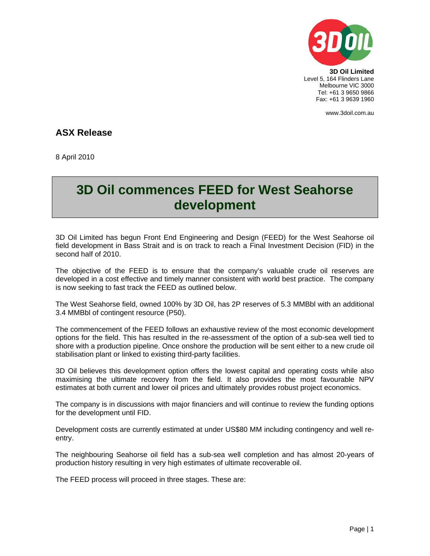

**3D Oil Limited**  Level 5, 164 Flinders Lane Melbourne VIC 3000 Tel: +61 3 9650 9866 Fax: +61 3 9639 1960

www.3doil.com.au

## **ASX Release**

8 April 2010

## **3D Oil commences FEED for West Seahorse development**

3D Oil Limited has begun Front End Engineering and Design (FEED) for the West Seahorse oil field development in Bass Strait and is on track to reach a Final Investment Decision (FID) in the second half of 2010.

The objective of the FEED is to ensure that the company's valuable crude oil reserves are developed in a cost effective and timely manner consistent with world best practice. The company is now seeking to fast track the FEED as outlined below.

The West Seahorse field, owned 100% by 3D Oil, has 2P reserves of 5.3 MMBbl with an additional 3.4 MMBbl of contingent resource (P50).

The commencement of the FEED follows an exhaustive review of the most economic development options for the field. This has resulted in the re-assessment of the option of a sub-sea well tied to shore with a production pipeline. Once onshore the production will be sent either to a new crude oil stabilisation plant or linked to existing third-party facilities.

3D Oil believes this development option offers the lowest capital and operating costs while also maximising the ultimate recovery from the field. It also provides the most favourable NPV estimates at both current and lower oil prices and ultimately provides robust project economics.

The company is in discussions with major financiers and will continue to review the funding options for the development until FID.

Development costs are currently estimated at under US\$80 MM including contingency and well reentry.

The neighbouring Seahorse oil field has a sub-sea well completion and has almost 20-years of production history resulting in very high estimates of ultimate recoverable oil.

The FEED process will proceed in three stages. These are: